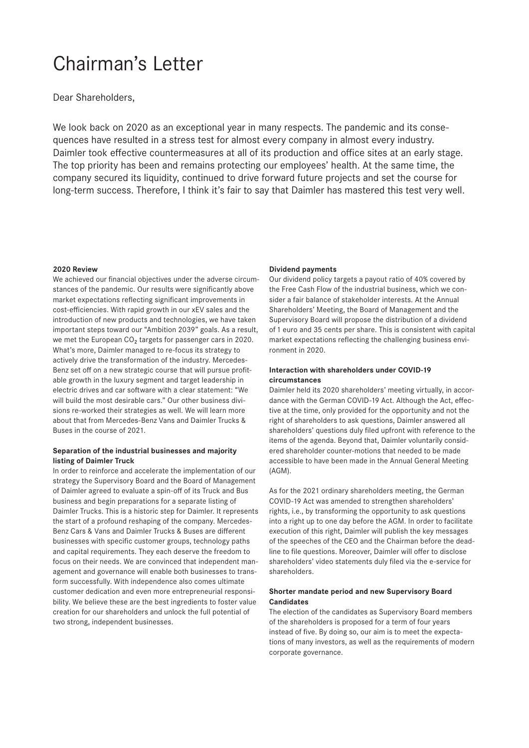# Chairman's Letter

Dear Shareholders,

We look back on 2020 as an exceptional year in many respects. The pandemic and its consequences have resulted in a stress test for almost every company in almost every industry. Daimler took effective countermeasures at all of its production and office sites at an early stage. The top priority has been and remains protecting our employees' health. At the same time, the company secured its liquidity, continued to drive forward future projects and set the course for long-term success. Therefore, I think it's fair to say that Daimler has mastered this test very well.

### **2020 Review**

We achieved our financial objectives under the adverse circumstances of the pandemic. Our results were significantly above market expectations reflecting significant improvements in cost-efficiencies. With rapid growth in our xEV sales and the introduction of new products and technologies, we have taken important steps toward our "Ambition 2039" goals. As a result, we met the European  $CO<sub>2</sub>$  targets for passenger cars in 2020. What's more, Daimler managed to re-focus its strategy to actively drive the transformation of the industry. Mercedes-Benz set off on a new strategic course that will pursue profitable growth in the luxury segment and target leadership in electric drives and car software with a clear statement: "We will build the most desirable cars." Our other business divisions re-worked their strategies as well. We will learn more about that from Mercedes-Benz Vans and Daimler Trucks & Buses in the course of 2021.

# **Separation of the industrial businesses and majority listing of Daimler Truck**

In order to reinforce and accelerate the implementation of our strategy the Supervisory Board and the Board of Management of Daimler agreed to evaluate a spin-off of its Truck and Bus business and begin preparations for a separate listing of Daimler Trucks. This is a historic step for Daimler. It represents the start of a profound reshaping of the company. Mercedes-Benz Cars & Vans and Daimler Trucks & Buses are different businesses with specific customer groups, technology paths and capital requirements. They each deserve the freedom to focus on their needs. We are convinced that independent management and governance will enable both businesses to transform successfully. With independence also comes ultimate customer dedication and even more entrepreneurial responsibility. We believe these are the best ingredients to foster value creation for our shareholders and unlock the full potential of two strong, independent businesses.

#### **Dividend payments**

Our dividend policy targets a payout ratio of 40% covered by the Free Cash Flow of the industrial business, which we consider a fair balance of stakeholder interests. At the Annual Shareholders' Meeting, the Board of Management and the Supervisory Board will propose the distribution of a dividend of1 euro and 35 cents per share. This is consistent with capital market expectations reflecting the challenging business environment in 2020.

# **Interaction with shareholders under COVID-19 circumstances**

Daimler held its 2020 shareholders' meeting virtually, in accordance with the German COVID-19 Act. Although the Act, effective at the time, only provided for the opportunity and not the right of shareholders to ask questions, Daimler answered all shareholders' questions duly filed upfront with reference to the items of the agenda. Beyond that, Daimler voluntarily considered shareholder counter-motions that needed to be made accessible to have been made in the Annual General Meeting (AGM).

As for the 2021 ordinary shareholders meeting, the German COVID-19 Act was amended to strengthen shareholders' rights, i.e., by transforming the opportunity to ask questions into a right up to one day before the AGM. In order to facilitate execution of this right, Daimler will publish the key messages of the speeches of the CEO and the Chairman before the deadline to file questions. Moreover, Daimler will offer to disclose shareholders' video statements duly filed via the e-service for shareholders.

## **Shorter mandate period and new Supervisory Board Candidates**

The election of the candidates as Supervisory Board members of the shareholders is proposed for a term of four years instead of five. By doing so, our aim is to meet the expectations of many investors, as well as the requirements of modern corporate governance.